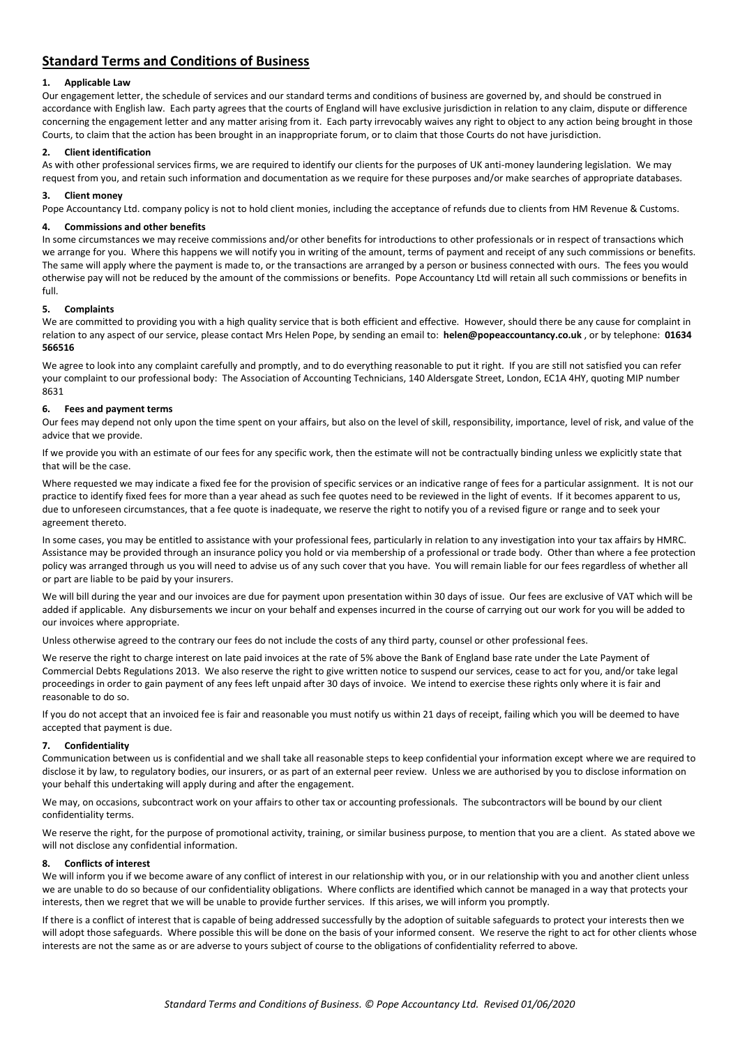# **Standard Terms and Conditions of Business**

# **1. Applicable Law**

Our engagement letter, the schedule of services and our standard terms and conditions of business are governed by, and should be construed in accordance with English law. Each party agrees that the courts of England will have exclusive jurisdiction in relation to any claim, dispute or difference concerning the engagement letter and any matter arising from it. Each party irrevocably waives any right to object to any action being brought in those Courts, to claim that the action has been brought in an inappropriate forum, or to claim that those Courts do not have jurisdiction.

# **2. Client identification**

As with other professional services firms, we are required to identify our clients for the purposes of UK anti-money laundering legislation. We may request from you, and retain such information and documentation as we require for these purposes and/or make searches of appropriate databases.

# **3. Client money**

Pope Accountancy Ltd. company policy is not to hold client monies, including the acceptance of refunds due to clients from HM Revenue & Customs.

# **4. Commissions and other benefits**

In some circumstances we may receive commissions and/or other benefits for introductions to other professionals or in respect of transactions which we arrange for you. Where this happens we will notify you in writing of the amount, terms of payment and receipt of any such commissions or benefits. The same will apply where the payment is made to, or the transactions are arranged by a person or business connected with ours. The fees you would otherwise pay will not be reduced by the amount of the commissions or benefits. Pope Accountancy Ltd will retain all such commissions or benefits in full.

# **5. Complaints**

We are committed to providing you with a high quality service that is both efficient and effective. However, should there be any cause for complaint in relation to any aspect of our service, please contact Mrs Helen Pope, by sending an email to: **helen@popeaccountancy.co.uk** , or by telephone: **01634 566516**

We agree to look into any complaint carefully and promptly, and to do everything reasonable to put it right. If you are still not satisfied you can refer your complaint to our professional body: The Association of Accounting Technicians, 140 Aldersgate Street, London, EC1A 4HY, quoting MIP number 8631

# **6. Fees and payment terms**

Our fees may depend not only upon the time spent on your affairs, but also on the level of skill, responsibility, importance, level of risk, and value of the advice that we provide.

If we provide you with an estimate of our fees for any specific work, then the estimate will not be contractually binding unless we explicitly state that that will be the case.

Where requested we may indicate a fixed fee for the provision of specific services or an indicative range of fees for a particular assignment. It is not our practice to identify fixed fees for more than a year ahead as such fee quotes need to be reviewed in the light of events. If it becomes apparent to us, due to unforeseen circumstances, that a fee quote is inadequate, we reserve the right to notify you of a revised figure or range and to seek your agreement thereto.

In some cases, you may be entitled to assistance with your professional fees, particularly in relation to any investigation into your tax affairs by HMRC. Assistance may be provided through an insurance policy you hold or via membership of a professional or trade body. Other than where a fee protection policy was arranged through us you will need to advise us of any such cover that you have. You will remain liable for our fees regardless of whether all or part are liable to be paid by your insurers.

We will bill during the year and our invoices are due for payment upon presentation within 30 days of issue. Our fees are exclusive of VAT which will be added if applicable. Any disbursements we incur on your behalf and expenses incurred in the course of carrying out our work for you will be added to our invoices where appropriate.

Unless otherwise agreed to the contrary our fees do not include the costs of any third party, counsel or other professional fees.

We reserve the right to charge interest on late paid invoices at the rate of 5% above the Bank of England base rate under the Late Payment of Commercial Debts Regulations 2013. We also reserve the right to give written notice to suspend our services, cease to act for you, and/or take legal proceedings in order to gain payment of any fees left unpaid after 30 days of invoice. We intend to exercise these rights only where it is fair and reasonable to do so.

If you do not accept that an invoiced fee is fair and reasonable you must notify us within 21 days of receipt, failing which you will be deemed to have accepted that payment is due.

#### **7. Confidentiality**

Communication between us is confidential and we shall take all reasonable steps to keep confidential your information except where we are required to disclose it by law, to regulatory bodies, our insurers, or as part of an external peer review. Unless we are authorised by you to disclose information on your behalf this undertaking will apply during and after the engagement.

We may, on occasions, subcontract work on your affairs to other tax or accounting professionals. The subcontractors will be bound by our client confidentiality terms.

We reserve the right, for the purpose of promotional activity, training, or similar business purpose, to mention that you are a client. As stated above we will not disclose any confidential information.

#### **8. Conflicts of interest**

We will inform you if we become aware of any conflict of interest in our relationship with you, or in our relationship with you and another client unless we are unable to do so because of our confidentiality obligations. Where conflicts are identified which cannot be managed in a way that protects your interests, then we regret that we will be unable to provide further services. If this arises, we will inform you promptly.

If there is a conflict of interest that is capable of being addressed successfully by the adoption of suitable safeguards to protect your interests then we will adopt those safeguards. Where possible this will be done on the basis of your informed consent. We reserve the right to act for other clients whose interests are not the same as or are adverse to yours subject of course to the obligations of confidentiality referred to above.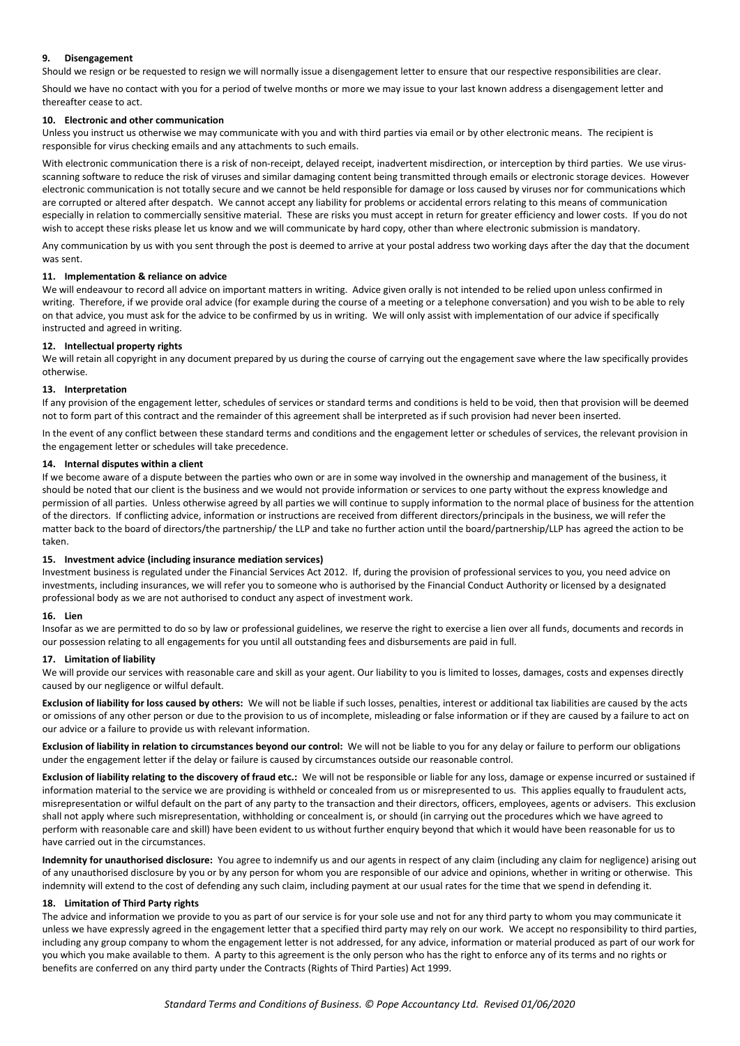# **9. Disengagement**

Should we resign or be requested to resign we will normally issue a disengagement letter to ensure that our respective responsibilities are clear.

Should we have no contact with you for a period of twelve months or more we may issue to your last known address a disengagement letter and thereafter cease to act.

#### **10. Electronic and other communication**

Unless you instruct us otherwise we may communicate with you and with third parties via email or by other electronic means. The recipient is responsible for virus checking emails and any attachments to such emails.

With electronic communication there is a risk of non-receipt, delayed receipt, inadvertent misdirection, or interception by third parties. We use virusscanning software to reduce the risk of viruses and similar damaging content being transmitted through emails or electronic storage devices. However electronic communication is not totally secure and we cannot be held responsible for damage or loss caused by viruses nor for communications which are corrupted or altered after despatch. We cannot accept any liability for problems or accidental errors relating to this means of communication especially in relation to commercially sensitive material. These are risks you must accept in return for greater efficiency and lower costs. If you do not wish to accept these risks please let us know and we will communicate by hard copy, other than where electronic submission is mandatory.

Any communication by us with you sent through the post is deemed to arrive at your postal address two working days after the day that the document was sent.

#### **11. Implementation & reliance on advice**

We will endeavour to record all advice on important matters in writing. Advice given orally is not intended to be relied upon unless confirmed in writing. Therefore, if we provide oral advice (for example during the course of a meeting or a telephone conversation) and you wish to be able to rely on that advice, you must ask for the advice to be confirmed by us in writing. We will only assist with implementation of our advice if specifically instructed and agreed in writing.

#### **12. Intellectual property rights**

We will retain all copyright in any document prepared by us during the course of carrying out the engagement save where the law specifically provides otherwise.

#### **13. Interpretation**

If any provision of the engagement letter, schedules of services or standard terms and conditions is held to be void, then that provision will be deemed not to form part of this contract and the remainder of this agreement shall be interpreted as if such provision had never been inserted.

In the event of any conflict between these standard terms and conditions and the engagement letter or schedules of services, the relevant provision in the engagement letter or schedules will take precedence.

#### **14. Internal disputes within a client**

If we become aware of a dispute between the parties who own or are in some way involved in the ownership and management of the business, it should be noted that our client is the business and we would not provide information or services to one party without the express knowledge and permission of all parties. Unless otherwise agreed by all parties we will continue to supply information to the normal place of business for the attention of the directors. If conflicting advice, information or instructions are received from different directors/principals in the business, we will refer the matter back to the board of directors/the partnership/ the LLP and take no further action until the board/partnership/LLP has agreed the action to be taken.

#### **15. Investment advice (including insurance mediation services)**

Investment business is regulated under the Financial Services Act 2012. If, during the provision of professional services to you, you need advice on investments, including insurances, we will refer you to someone who is authorised by the Financial Conduct Authority or licensed by a designated professional body as we are not authorised to conduct any aspect of investment work.

#### **16. Lien**

Insofar as we are permitted to do so by law or professional guidelines, we reserve the right to exercise a lien over all funds, documents and records in our possession relating to all engagements for you until all outstanding fees and disbursements are paid in full.

#### **17. Limitation of liability**

We will provide our services with reasonable care and skill as your agent. Our liability to you is limited to losses, damages, costs and expenses directly caused by our negligence or wilful default.

**Exclusion of liability for loss caused by others:** We will not be liable if such losses, penalties, interest or additional tax liabilities are caused by the acts or omissions of any other person or due to the provision to us of incomplete, misleading or false information or if they are caused by a failure to act on our advice or a failure to provide us with relevant information.

**Exclusion of liability in relation to circumstances beyond our control:** We will not be liable to you for any delay or failure to perform our obligations under the engagement letter if the delay or failure is caused by circumstances outside our reasonable control.

**Exclusion of liability relating to the discovery of fraud etc.:** We will not be responsible or liable for any loss, damage or expense incurred or sustained if information material to the service we are providing is withheld or concealed from us or misrepresented to us. This applies equally to fraudulent acts, misrepresentation or wilful default on the part of any party to the transaction and their directors, officers, employees, agents or advisers. This exclusion shall not apply where such misrepresentation, withholding or concealment is, or should (in carrying out the procedures which we have agreed to perform with reasonable care and skill) have been evident to us without further enquiry beyond that which it would have been reasonable for us to have carried out in the circumstances.

**Indemnity for unauthorised disclosure:** You agree to indemnify us and our agents in respect of any claim (including any claim for negligence) arising out of any unauthorised disclosure by you or by any person for whom you are responsible of our advice and opinions, whether in writing or otherwise. This indemnity will extend to the cost of defending any such claim, including payment at our usual rates for the time that we spend in defending it.

# **18. Limitation of Third Party rights**

The advice and information we provide to you as part of our service is for your sole use and not for any third party to whom you may communicate it unless we have expressly agreed in the engagement letter that a specified third party may rely on our work. We accept no responsibility to third parties, including any group company to whom the engagement letter is not addressed, for any advice, information or material produced as part of our work for you which you make available to them. A party to this agreement is the only person who has the right to enforce any of its terms and no rights or benefits are conferred on any third party under the Contracts (Rights of Third Parties) Act 1999.